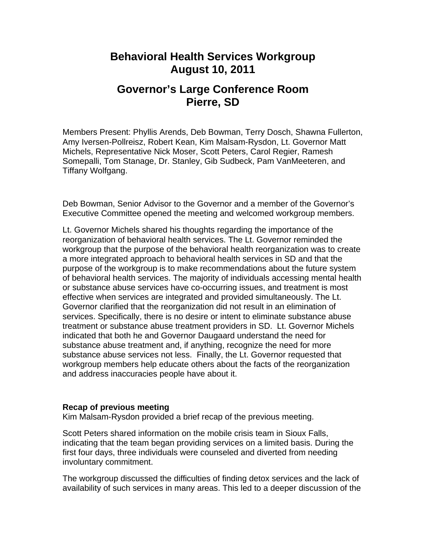## **Behavioral Health Services Workgroup August 10, 2011**

# **Governor's Large Conference Room Pierre, SD**

Members Present: Phyllis Arends, Deb Bowman, Terry Dosch, Shawna Fullerton, Amy Iversen-Pollreisz, Robert Kean, Kim Malsam-Rysdon, Lt. Governor Matt Michels, Representative Nick Moser, Scott Peters, Carol Regier, Ramesh Somepalli, Tom Stanage, Dr. Stanley, Gib Sudbeck, Pam VanMeeteren, and Tiffany Wolfgang.

Deb Bowman, Senior Advisor to the Governor and a member of the Governor's Executive Committee opened the meeting and welcomed workgroup members.

Lt. Governor Michels shared his thoughts regarding the importance of the reorganization of behavioral health services. The Lt. Governor reminded the workgroup that the purpose of the behavioral health reorganization was to create a more integrated approach to behavioral health services in SD and that the purpose of the workgroup is to make recommendations about the future system of behavioral health services. The majority of individuals accessing mental health or substance abuse services have co-occurring issues, and treatment is most effective when services are integrated and provided simultaneously. The Lt. Governor clarified that the reorganization did not result in an elimination of services. Specifically, there is no desire or intent to eliminate substance abuse treatment or substance abuse treatment providers in SD. Lt. Governor Michels indicated that both he and Governor Daugaard understand the need for substance abuse treatment and, if anything, recognize the need for more substance abuse services not less. Finally, the Lt. Governor requested that workgroup members help educate others about the facts of the reorganization and address inaccuracies people have about it.

### **Recap of previous meeting**

Kim Malsam-Rysdon provided a brief recap of the previous meeting.

Scott Peters shared information on the mobile crisis team in Sioux Falls, indicating that the team began providing services on a limited basis. During the first four days, three individuals were counseled and diverted from needing involuntary commitment.

The workgroup discussed the difficulties of finding detox services and the lack of availability of such services in many areas. This led to a deeper discussion of the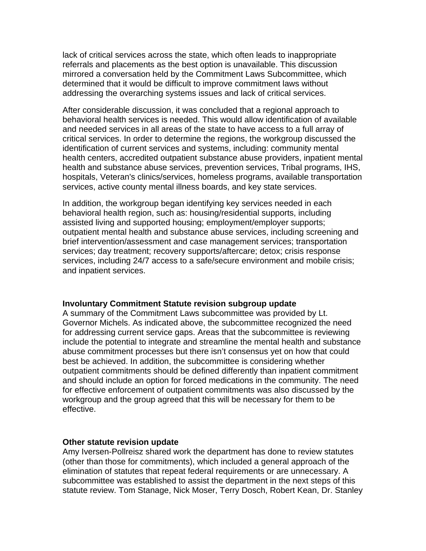lack of critical services across the state, which often leads to inappropriate referrals and placements as the best option is unavailable. This discussion mirrored a conversation held by the Commitment Laws Subcommittee, which determined that it would be difficult to improve commitment laws without addressing the overarching systems issues and lack of critical services.

After considerable discussion, it was concluded that a regional approach to behavioral health services is needed. This would allow identification of available and needed services in all areas of the state to have access to a full array of critical services. In order to determine the regions, the workgroup discussed the identification of current services and systems, including: community mental health centers, accredited outpatient substance abuse providers, inpatient mental health and substance abuse services, prevention services, Tribal programs, IHS, hospitals, Veteran's clinics/services, homeless programs, available transportation services, active county mental illness boards, and key state services.

In addition, the workgroup began identifying key services needed in each behavioral health region, such as: housing/residential supports, including assisted living and supported housing; employment/employer supports; outpatient mental health and substance abuse services, including screening and brief intervention/assessment and case management services; transportation services; day treatment; recovery supports/aftercare; detox; crisis response services, including 24/7 access to a safe/secure environment and mobile crisis; and inpatient services.

#### **Involuntary Commitment Statute revision subgroup update**

A summary of the Commitment Laws subcommittee was provided by Lt. Governor Michels. As indicated above, the subcommittee recognized the need for addressing current service gaps. Areas that the subcommittee is reviewing include the potential to integrate and streamline the mental health and substance abuse commitment processes but there isn't consensus yet on how that could best be achieved. In addition, the subcommittee is considering whether outpatient commitments should be defined differently than inpatient commitment and should include an option for forced medications in the community. The need for effective enforcement of outpatient commitments was also discussed by the workgroup and the group agreed that this will be necessary for them to be effective.

#### **Other statute revision update**

Amy Iversen-Pollreisz shared work the department has done to review statutes (other than those for commitments), which included a general approach of the elimination of statutes that repeat federal requirements or are unnecessary. A subcommittee was established to assist the department in the next steps of this statute review. Tom Stanage, Nick Moser, Terry Dosch, Robert Kean, Dr. Stanley